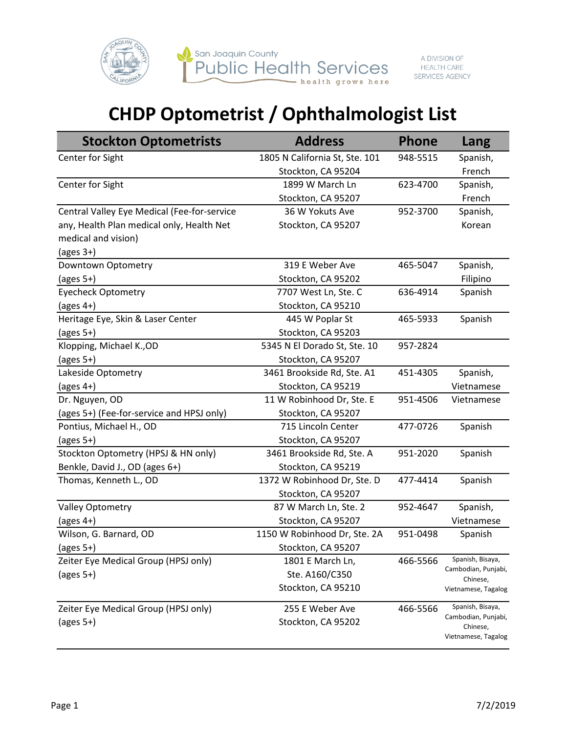

## **CHDP Optometrist / Ophthalmologist List**

| <b>Stockton Optometrists</b>                | <b>Address</b>                 | <b>Phone</b> | Lang                            |
|---------------------------------------------|--------------------------------|--------------|---------------------------------|
| Center for Sight                            | 1805 N California St, Ste. 101 | 948-5515     | Spanish,                        |
|                                             | Stockton, CA 95204             |              | French                          |
| Center for Sight                            | 1899 W March Ln                | 623-4700     | Spanish,                        |
|                                             | Stockton, CA 95207             |              | French                          |
| Central Valley Eye Medical (Fee-for-service | 36 W Yokuts Ave                | 952-3700     | Spanish,                        |
| any, Health Plan medical only, Health Net   | Stockton, CA 95207             |              | Korean                          |
| medical and vision)                         |                                |              |                                 |
| (ages $3+$ )                                |                                |              |                                 |
| Downtown Optometry                          | 319 E Weber Ave                | 465-5047     | Spanish,                        |
| (ages $5+$ )                                | Stockton, CA 95202             |              | Filipino                        |
| <b>Eyecheck Optometry</b>                   | 7707 West Ln, Ste. C           | 636-4914     | Spanish                         |
| (ages $4+$ )                                | Stockton, CA 95210             |              |                                 |
| Heritage Eye, Skin & Laser Center           | 445 W Poplar St                | 465-5933     | Spanish                         |
| $(\text{ages } 5+)$                         | Stockton, CA 95203             |              |                                 |
| Klopping, Michael K., OD                    | 5345 N El Dorado St, Ste. 10   | 957-2824     |                                 |
| (ages $5+$ )                                | Stockton, CA 95207             |              |                                 |
| Lakeside Optometry                          | 3461 Brookside Rd, Ste. A1     | 451-4305     | Spanish,                        |
| (ages $4+$ )                                | Stockton, CA 95219             |              | Vietnamese                      |
| Dr. Nguyen, OD                              | 11 W Robinhood Dr, Ste. E      | 951-4506     | Vietnamese                      |
| (ages 5+) (Fee-for-service and HPSJ only)   | Stockton, CA 95207             |              |                                 |
| Pontius, Michael H., OD                     | 715 Lincoln Center             | 477-0726     | Spanish                         |
| (ages $5+$ )                                | Stockton, CA 95207             |              |                                 |
| Stockton Optometry (HPSJ & HN only)         | 3461 Brookside Rd, Ste. A      | 951-2020     | Spanish                         |
| Benkle, David J., OD (ages 6+)              | Stockton, CA 95219             |              |                                 |
| Thomas, Kenneth L., OD                      | 1372 W Robinhood Dr, Ste. D    | 477-4414     | Spanish                         |
|                                             | Stockton, CA 95207             |              |                                 |
| Valley Optometry                            | 87 W March Ln, Ste. 2          | 952-4647     | Spanish,                        |
| (ages $4+$ )                                | Stockton, CA 95207             |              | Vietnamese                      |
| Wilson, G. Barnard, OD                      | 1150 W Robinhood Dr, Ste. 2A   | 951-0498     | Spanish                         |
| (ages $5+$ )                                | Stockton, CA 95207             |              |                                 |
| Zeiter Eye Medical Group (HPSJ only)        | 1801 E March Ln,               | 466-5566     | Spanish, Bisaya,                |
| (ages $5+$ )                                | Ste. A160/C350                 |              | Cambodian, Punjabi,<br>Chinese, |
|                                             | Stockton, CA 95210             |              | Vietnamese, Tagalog             |
| Zeiter Eye Medical Group (HPSJ only)        | 255 E Weber Ave                | 466-5566     | Spanish, Bisaya,                |
| (ages $5+$ )                                | Stockton, CA 95202             |              | Cambodian, Punjabi,<br>Chinese, |
|                                             |                                |              | Vietnamese, Tagalog             |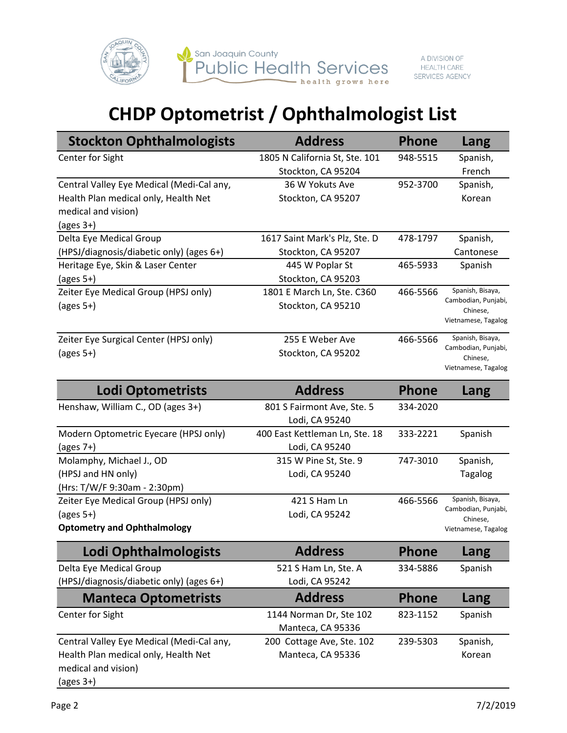

## **CHDP Optometrist / Ophthalmologist List**

| <b>Stockton Ophthalmologists</b>          | <b>Address</b>                 | <b>Phone</b> | Lang                            |
|-------------------------------------------|--------------------------------|--------------|---------------------------------|
| Center for Sight                          | 1805 N California St, Ste. 101 | 948-5515     | Spanish,                        |
|                                           | Stockton, CA 95204             |              | French                          |
| Central Valley Eye Medical (Medi-Cal any, | 36 W Yokuts Ave                | 952-3700     | Spanish,                        |
| Health Plan medical only, Health Net      | Stockton, CA 95207             |              | Korean                          |
| medical and vision)                       |                                |              |                                 |
| $\frac{1}{2}$ (ages 3+)                   |                                |              |                                 |
| Delta Eye Medical Group                   | 1617 Saint Mark's Plz, Ste. D  | 478-1797     | Spanish,                        |
| (HPSJ/diagnosis/diabetic only) (ages 6+)  | Stockton, CA 95207             |              | Cantonese                       |
| Heritage Eye, Skin & Laser Center         | 445 W Poplar St                | 465-5933     | Spanish                         |
| $\frac{1}{2}$ (ages 5+)                   | Stockton, CA 95203             |              |                                 |
| Zeiter Eye Medical Group (HPSJ only)      | 1801 E March Ln, Ste. C360     | 466-5566     | Spanish, Bisaya,                |
| $\frac{1}{2}$ (ages 5+)                   | Stockton, CA 95210             |              | Cambodian, Punjabi,<br>Chinese, |
|                                           |                                |              | Vietnamese, Tagalog             |
| Zeiter Eye Surgical Center (HPSJ only)    | 255 E Weber Ave                | 466-5566     | Spanish, Bisaya,                |
| $(\text{ages } 5+)$                       | Stockton, CA 95202             |              | Cambodian, Punjabi,<br>Chinese, |
|                                           |                                |              | Vietnamese, Tagalog             |
| <b>Lodi Optometrists</b>                  | <b>Address</b>                 | <b>Phone</b> | Lang                            |
| Henshaw, William C., OD (ages 3+)         | 801 S Fairmont Ave, Ste. 5     | 334-2020     |                                 |
|                                           | Lodi, CA 95240                 |              |                                 |
| Modern Optometric Eyecare (HPSJ only)     | 400 East Kettleman Ln, Ste. 18 | 333-2221     | Spanish                         |
| $\frac{2}{3}$ (ages 7+)                   | Lodi, CA 95240                 |              |                                 |

Molamphy, Michael J., OD (HPSJ and HN only) (Hrs: T/W/F 9:30am - 2:30pm) 315 W Pine St, Ste. 9 Lodi, CA 95240 747-3010 Spanish, Tagalog Zeiter Eye Medical Group (HPSJ only) (ages 5+) **Optometry and Ophthalmology** 421 S Ham Ln Lodi, CA 95242 466-5566 Spanish, Bisaya, Cambodian, Punjabi, Chinese, Vietnamese, Tagalog

| Lodi Ophthalmologists                     | <b>Address</b>            | <b>Phone</b> | Lang     |
|-------------------------------------------|---------------------------|--------------|----------|
| Delta Eye Medical Group                   | 521 S Ham Ln, Ste. A      | 334-5886     | Spanish  |
| (HPSJ/diagnosis/diabetic only) (ages 6+)  | Lodi, CA 95242            |              |          |
| <b>Manteca Optometrists</b>               | <b>Address</b>            | <b>Phone</b> | Lang     |
| Center for Sight                          | 1144 Norman Dr, Ste 102   | 823-1152     | Spanish  |
|                                           | Manteca, CA 95336         |              |          |
| Central Valley Eye Medical (Medi-Cal any, | 200 Cottage Ave, Ste. 102 | 239-5303     | Spanish, |
| Health Plan medical only, Health Net      | Manteca, CA 95336         |              | Korean   |
| medical and vision)                       |                           |              |          |
| $\frac{1}{2}$ (ages 3+)                   |                           |              |          |